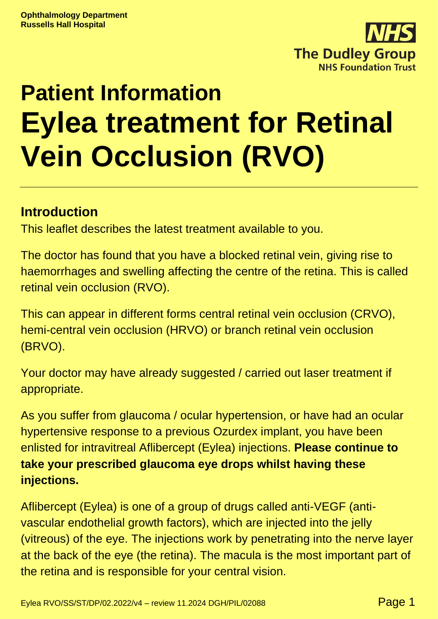

# **Patient Information Eylea treatment for Retinal Vein Occlusion (RVO)**

#### **Introduction**

This leaflet describes the latest treatment available to you.

The doctor has found that you have a blocked retinal vein, giving rise to haemorrhages and swelling affecting the centre of the retina. This is called retinal vein occlusion (RVO).

This can appear in different forms central retinal vein occlusion (CRVO), hemi-central vein occlusion (HRVO) or branch retinal vein occlusion (BRVO).

Your doctor may have already suggested / carried out laser treatment if appropriate.

As you suffer from glaucoma / ocular hypertension, or have had an ocular hypertensive response to a previous Ozurdex implant, you have been enlisted for intravitreal Aflibercept (Eylea) injections. **Please continue to take your prescribed glaucoma eye drops whilst having these injections.**

Aflibercept (Eylea) is one of a group of drugs called anti-VEGF (antivascular endothelial growth factors), which are injected into the jelly (vitreous) of the eye. The injections work by penetrating into the nerve layer at the back of the eye (the retina). The macula is the most important part of the retina and is responsible for your central vision.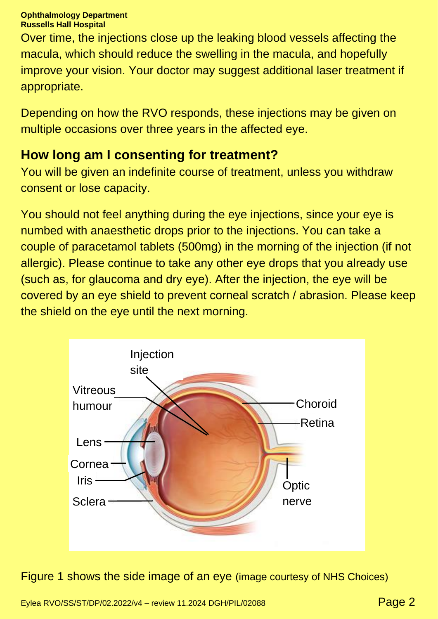#### **Ophthalmology Department Russells Hall Hospital**

Over time, the injections close up the leaking blood vessels affecting the macula, which should reduce the swelling in the macula, and hopefully improve your vision. Your doctor may suggest additional laser treatment if appropriate.

Depending on how the RVO responds, these injections may be given on multiple occasions over three years in the affected eye.

#### **How long am I consenting for treatment?**

You will be given an indefinite course of treatment, unless you withdraw consent or lose capacity.

You should not feel anything during the eye injections, since your eye is numbed with anaesthetic drops prior to the injections. You can take a couple of paracetamol tablets (500mg) in the morning of the injection (if not allergic). Please continue to take any other eye drops that you already use (such as, for glaucoma and dry eye). After the injection, the eye will be covered by an eye shield to prevent corneal scratch / abrasion. Please keep the shield on the eye until the next morning.



Figure 1 shows the side image of an eye (image courtesy of NHS Choices)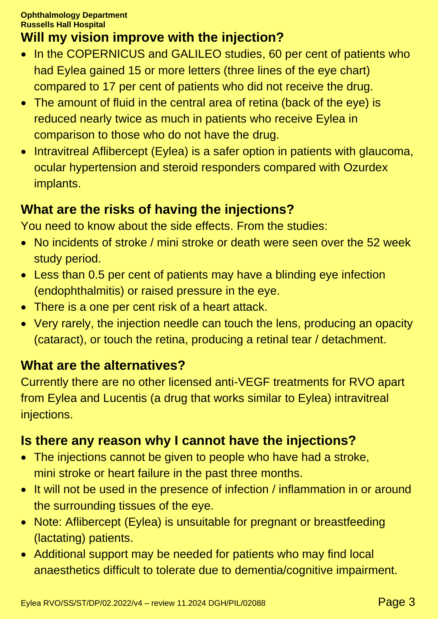# **Will my vision improve with the injection?**

- In the COPERNICUS and GALILEO studies, 60 per cent of patients who had Eylea gained 15 or more letters (three lines of the eye chart) compared to 17 per cent of patients who did not receive the drug.
- The amount of fluid in the central area of retina (back of the eye) is reduced nearly twice as much in patients who receive Eylea in comparison to those who do not have the drug.
- Intravitreal Aflibercept (Eylea) is a safer option in patients with glaucoma, ocular hypertension and steroid responders compared with Ozurdex implants.

#### **What are the risks of having the injections?**

You need to know about the side effects. From the studies:

- No incidents of stroke / mini stroke or death were seen over the 52 week study period.
- Less than 0.5 per cent of patients may have a blinding eye infection (endophthalmitis) or raised pressure in the eye.
- There is a one per cent risk of a heart attack.
- Very rarely, the injection needle can touch the lens, producing an opacity (cataract), or touch the retina, producing a retinal tear / detachment.

## **What are the alternatives?**

Currently there are no other licensed anti-VEGF treatments for RVO apart from Eylea and Lucentis (a drug that works similar to Eylea) intravitreal injections.

## **Is there any reason why I cannot have the injections?**

- The injections cannot be given to people who have had a stroke, mini stroke or heart failure in the past three months.
- It will not be used in the presence of infection / inflammation in or around the surrounding tissues of the eye.
- Note: Aflibercept (Eylea) is unsuitable for pregnant or breastfeeding (lactating) patients.
- Additional support may be needed for patients who may find local anaesthetics difficult to tolerate due to dementia/cognitive impairment.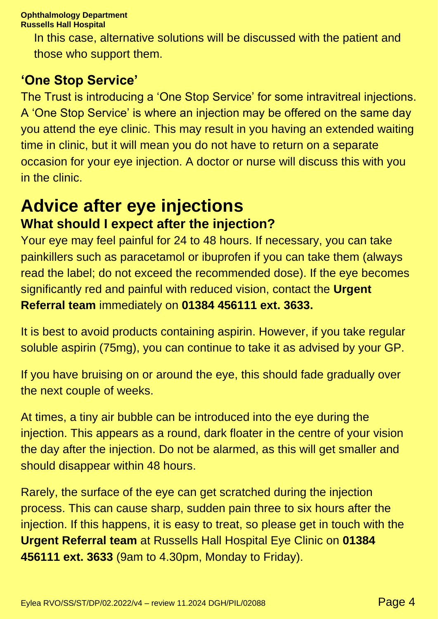**Ophthalmology Department Russells Hall Hospital**

> In this case, alternative solutions will be discussed with the patient and those who support them.

## **'One Stop Service'**

The Trust is introducing a 'One Stop Service' for some intravitreal injections. A 'One Stop Service' is where an injection may be offered on the same day you attend the eye clinic. This may result in you having an extended waiting time in clinic, but it will mean you do not have to return on a separate occasion for your eye injection. A doctor or nurse will discuss this with you in the clinic.

# **Advice after eye injections What should I expect after the injection?**

Your eye may feel painful for 24 to 48 hours. If necessary, you can take painkillers such as paracetamol or ibuprofen if you can take them (always read the label; do not exceed the recommended dose). If the eye becomes significantly red and painful with reduced vision, contact the **Urgent Referral team** immediately on **01384 456111 ext. 3633.**

It is best to avoid products containing aspirin. However, if you take regular soluble aspirin (75mg), you can continue to take it as advised by your GP.

If you have bruising on or around the eye, this should fade gradually over the next couple of weeks.

At times, a tiny air bubble can be introduced into the eye during the injection. This appears as a round, dark floater in the centre of your vision the day after the injection. Do not be alarmed, as this will get smaller and should disappear within 48 hours.

Rarely, the surface of the eye can get scratched during the injection process. This can cause sharp, sudden pain three to six hours after the injection. If this happens, it is easy to treat, so please get in touch with the **Urgent Referral team** at Russells Hall Hospital Eye Clinic on **01384 456111 ext. 3633** (9am to 4.30pm, Monday to Friday).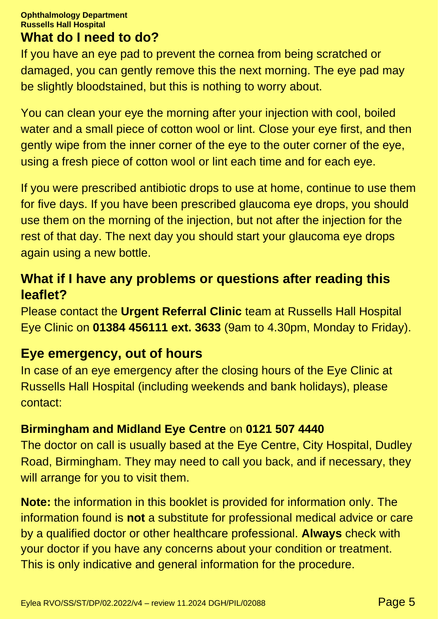#### **Ophthalmology Department Russells Hall Hospital What do I need to do?**

If you have an eye pad to prevent the cornea from being scratched or damaged, you can gently remove this the next morning. The eye pad may be slightly bloodstained, but this is nothing to worry about.

You can clean your eye the morning after your injection with cool, boiled water and a small piece of cotton wool or lint. Close your eye first, and then gently wipe from the inner corner of the eye to the outer corner of the eye, using a fresh piece of cotton wool or lint each time and for each eye.

If you were prescribed antibiotic drops to use at home, continue to use them for five days. If you have been prescribed glaucoma eye drops, you should use them on the morning of the injection, but not after the injection for the rest of that day. The next day you should start your glaucoma eye drops again using a new bottle.

#### **What if I have any problems or questions after reading this leaflet?**

Please contact the **Urgent Referral Clinic** team at Russells Hall Hospital Eye Clinic on **01384 456111 ext. 3633** (9am to 4.30pm, Monday to Friday).

#### **Eye emergency, out of hours**

In case of an eye emergency after the closing hours of the Eye Clinic at Russells Hall Hospital (including weekends and bank holidays), please contact:

#### **Birmingham and Midland Eye Centre** on **0121 507 4440**

The doctor on call is usually based at the Eye Centre, City Hospital, Dudley Road, Birmingham. They may need to call you back, and if necessary, they will arrange for you to visit them.

**Note:** the information in this booklet is provided for information only. The information found is **not** a substitute for professional medical advice or care by a qualified doctor or other healthcare professional. **Always** check with your doctor if you have any concerns about your condition or treatment. This is only indicative and general information for the procedure.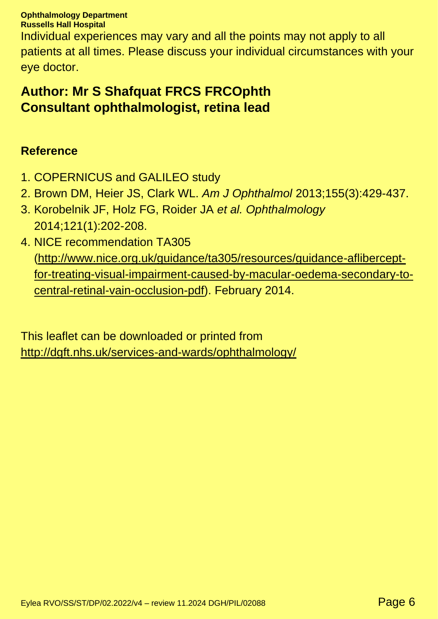**Ophthalmology Department Russells Hall Hospital** Individual experiences may vary and all the points may not apply to all patients at all times. Please discuss your individual circumstances with your eye doctor.

#### **Author: Mr S Shafquat FRCS FRCOphth Consultant ophthalmologist, retina lead**

#### **Reference**

- 1. COPERNICUS and GALILEO study
- 2. Brown DM, Heier JS, Clark WL. *Am J Ophthalmol* 2013;155(3):429-437.
- 3. Korobelnik JF, Holz FG, Roider JA *et al. Ophthalmology* 2014;121(1):202-208.
- 4. NICE recommendation TA305 [\(http://www.nice.org.uk/guidance/ta305/resources/guidance-aflibercept](http://www.nice.org.uk/guidance/ta305/resources/guidance-aflibercept-for-treating-visual-impairment-caused-by-macular-oedema-secondary-to-central-retinal-vain-occlusion-pdf)[for-treating-visual-impairment-caused-by-macular-oedema-secondary-to](http://www.nice.org.uk/guidance/ta305/resources/guidance-aflibercept-for-treating-visual-impairment-caused-by-macular-oedema-secondary-to-central-retinal-vain-occlusion-pdf)[central-retinal-vain-occlusion-pdf\)](http://www.nice.org.uk/guidance/ta305/resources/guidance-aflibercept-for-treating-visual-impairment-caused-by-macular-oedema-secondary-to-central-retinal-vain-occlusion-pdf). February 2014.

This leaflet can be downloaded or printed from <http://dgft.nhs.uk/services-and-wards/ophthalmology/>